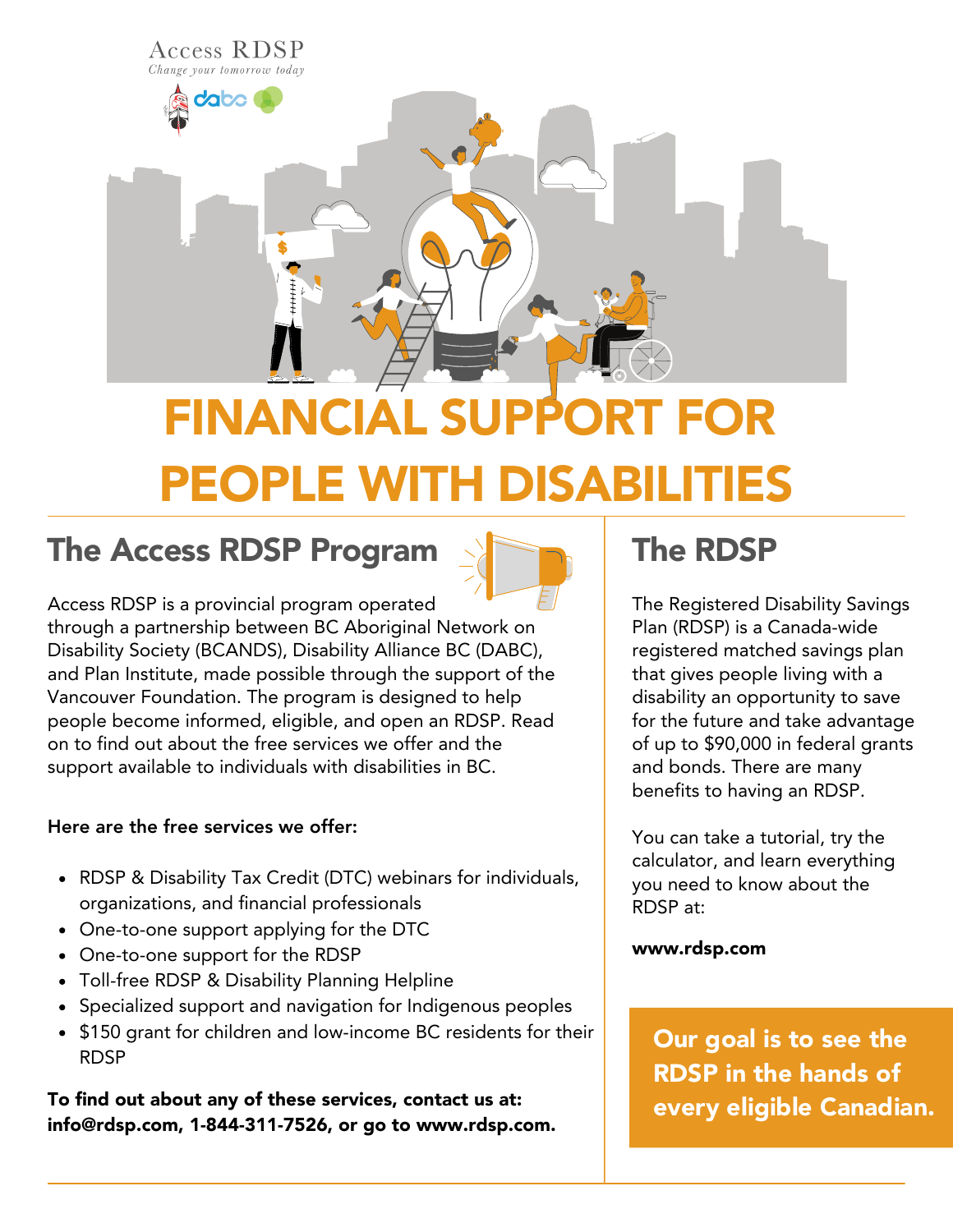

# FINANCIAL SUPPO PEOPLE WITH DISABIL

#### The Access RDSP Program



Access RDSP is a provincial program operated through a partnership between BC Aboriginal Network on Disability Society (BCANDS), Disability Alliance BC (DABC), and Plan Institute, made possible through the support of the Vancouver Foundation. The program is designed to help people become informed, eligible, and open an RDSP. Read on to find out about the free services we offer and the support available to individuals with disabilities in BC.

#### Here are the free services we offer:

- RDSP & Disability Tax Credit (DTC) webinars for individuals, organizations, and financial professionals
- One-to-one support applying for the DTC
- One-to-one support for the RDSP
- Toll-free RDSP & Disability Planning Helpline
- Specialized support and navigation for Indigenous peoples
- \$150 grant for children and low-income BC residents for their RDSP

To find out about any of these services, contact us at: info@rdsp.com, 1-844-311-7526, or go to www.rdsp.com.

### The RDSP

The Registered Disability Savings Plan (RDSP) is a Canada-wide registered matched savings plan that gives people living with a disability an opportunity to save for the future and take advantage of up to \$90,000 in federal grants and bonds. There are many benefits to having an RDSP.

You can take a tutorial, try the calculator, and learn everything you need to know about the RDSP at:

#### www.rdsp.com

Our goal is to see the RDSP in the hands of every eligible Canadian.